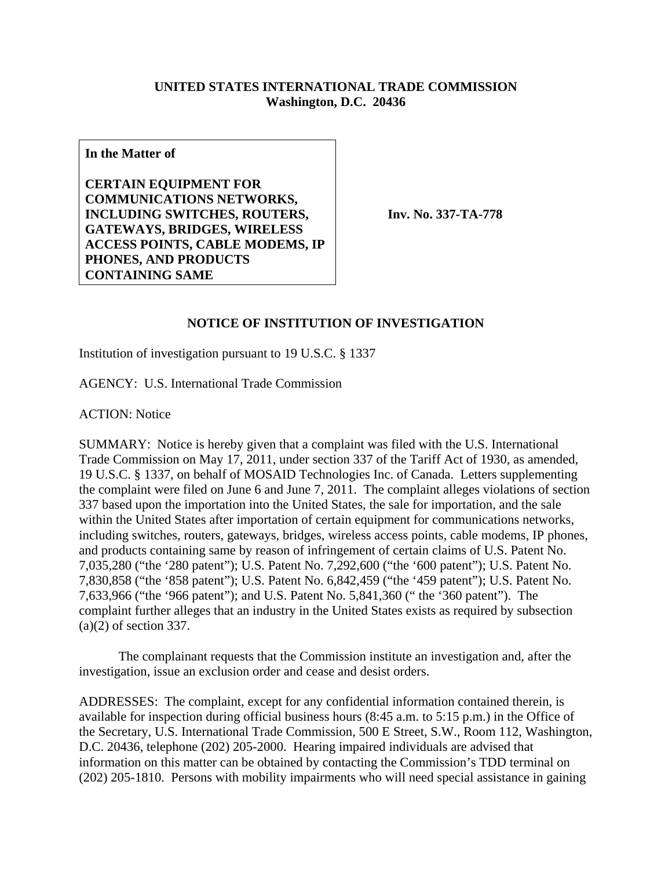## **UNITED STATES INTERNATIONAL TRADE COMMISSION Washington, D.C. 20436**

**In the Matter of** 

**CERTAIN EQUIPMENT FOR COMMUNICATIONS NETWORKS, INCLUDING SWITCHES, ROUTERS, GATEWAYS, BRIDGES, WIRELESS ACCESS POINTS, CABLE MODEMS, IP PHONES, AND PRODUCTS CONTAINING SAME**

**Inv. No. 337-TA-778**

## **NOTICE OF INSTITUTION OF INVESTIGATION**

Institution of investigation pursuant to 19 U.S.C. § 1337

AGENCY: U.S. International Trade Commission

ACTION: Notice

SUMMARY: Notice is hereby given that a complaint was filed with the U.S. International Trade Commission on May 17, 2011, under section 337 of the Tariff Act of 1930, as amended, 19 U.S.C. § 1337, on behalf of MOSAID Technologies Inc. of Canada. Letters supplementing the complaint were filed on June 6 and June 7, 2011. The complaint alleges violations of section 337 based upon the importation into the United States, the sale for importation, and the sale within the United States after importation of certain equipment for communications networks, including switches, routers, gateways, bridges, wireless access points, cable modems, IP phones, and products containing same by reason of infringement of certain claims of U.S. Patent No. 7,035,280 ("the '280 patent"); U.S. Patent No. 7,292,600 ("the '600 patent"); U.S. Patent No. 7,830,858 ("the '858 patent"); U.S. Patent No. 6,842,459 ("the '459 patent"); U.S. Patent No. 7,633,966 ("the '966 patent"); and U.S. Patent No. 5,841,360 (" the '360 patent"). The complaint further alleges that an industry in the United States exists as required by subsection (a)(2) of section 337.

 The complainant requests that the Commission institute an investigation and, after the investigation, issue an exclusion order and cease and desist orders.

ADDRESSES: The complaint, except for any confidential information contained therein, is available for inspection during official business hours (8:45 a.m. to 5:15 p.m.) in the Office of the Secretary, U.S. International Trade Commission, 500 E Street, S.W., Room 112, Washington, D.C. 20436, telephone (202) 205-2000. Hearing impaired individuals are advised that information on this matter can be obtained by contacting the Commission's TDD terminal on (202) 205-1810. Persons with mobility impairments who will need special assistance in gaining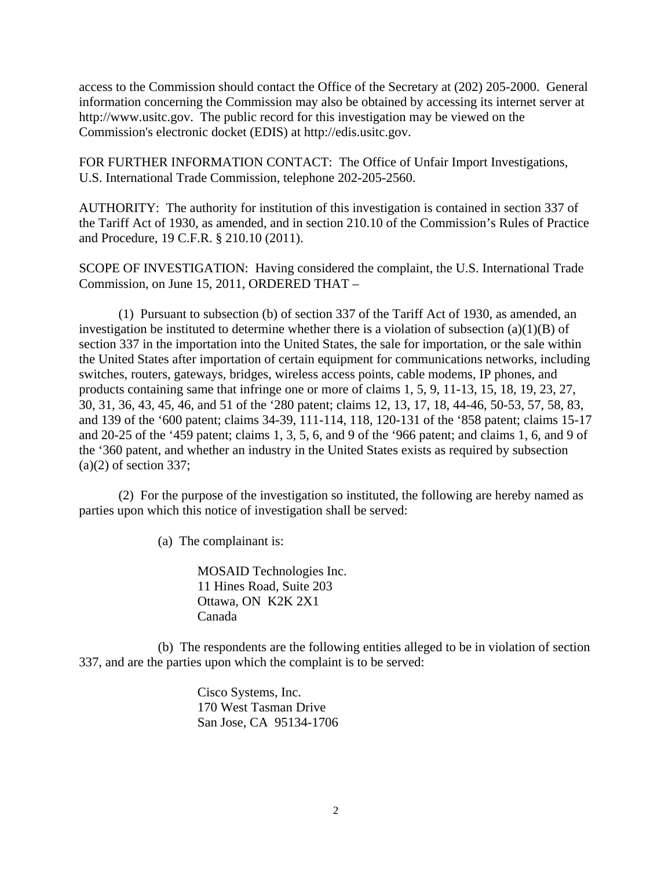access to the Commission should contact the Office of the Secretary at (202) 205-2000. General information concerning the Commission may also be obtained by accessing its internet server at http://www.usitc.gov. The public record for this investigation may be viewed on the Commission's electronic docket (EDIS) at http://edis.usitc.gov.

FOR FURTHER INFORMATION CONTACT: The Office of Unfair Import Investigations, U.S. International Trade Commission, telephone 202-205-2560.

AUTHORITY: The authority for institution of this investigation is contained in section 337 of the Tariff Act of 1930, as amended, and in section 210.10 of the Commission's Rules of Practice and Procedure, 19 C.F.R. § 210.10 (2011).

SCOPE OF INVESTIGATION: Having considered the complaint, the U.S. International Trade Commission, on June 15, 2011, ORDERED THAT –

 (1) Pursuant to subsection (b) of section 337 of the Tariff Act of 1930, as amended, an investigation be instituted to determine whether there is a violation of subsection  $(a)(1)(B)$  of section 337 in the importation into the United States, the sale for importation, or the sale within the United States after importation of certain equipment for communications networks, including switches, routers, gateways, bridges, wireless access points, cable modems, IP phones, and products containing same that infringe one or more of claims 1, 5, 9, 11-13, 15, 18, 19, 23, 27, 30, 31, 36, 43, 45, 46, and 51 of the '280 patent; claims 12, 13, 17, 18, 44-46, 50-53, 57, 58, 83, and 139 of the '600 patent; claims 34-39, 111-114, 118, 120-131 of the '858 patent; claims 15-17 and 20-25 of the '459 patent; claims 1, 3, 5, 6, and 9 of the '966 patent; and claims 1, 6, and 9 of the '360 patent, and whether an industry in the United States exists as required by subsection  $(a)(2)$  of section 337;

 (2) For the purpose of the investigation so instituted, the following are hereby named as parties upon which this notice of investigation shall be served:

(a) The complainant is:

 MOSAID Technologies Inc. 11 Hines Road, Suite 203 Ottawa, ON K2K 2X1 Canada

 (b) The respondents are the following entities alleged to be in violation of section 337, and are the parties upon which the complaint is to be served:

> Cisco Systems, Inc. 170 West Tasman Drive San Jose, CA 95134-1706